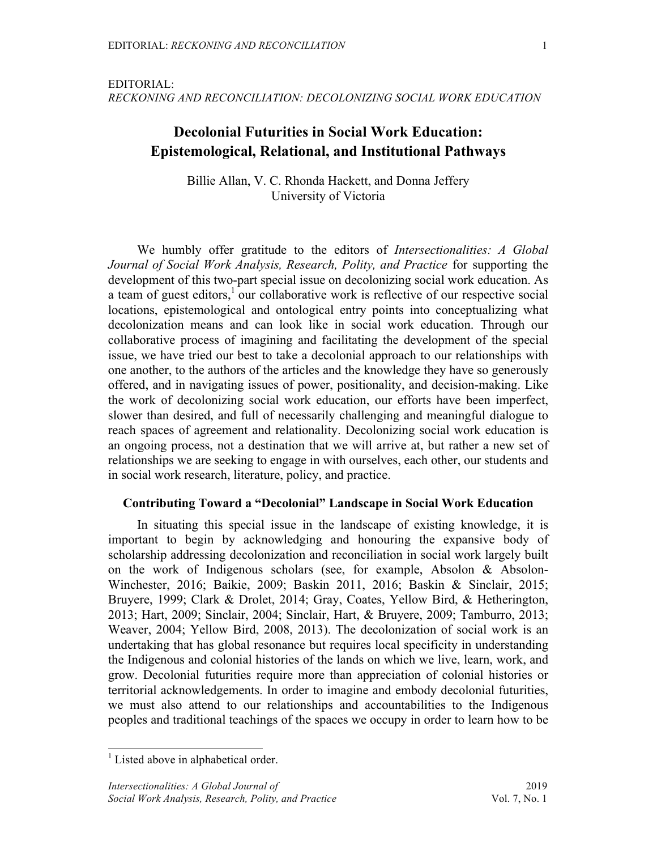EDITORIAL: *RECKONING AND RECONCILIATION: DECOLONIZING SOCIAL WORK EDUCATION*

# **Decolonial Futurities in Social Work Education: Epistemological, Relational, and Institutional Pathways**

Billie Allan, V. C. Rhonda Hackett, and Donna Jeffery University of Victoria

We humbly offer gratitude to the editors of *Intersectionalities: A Global Journal of Social Work Analysis, Research, Polity, and Practice* for supporting the development of this two-part special issue on decolonizing social work education. As a team of guest editors, $\frac{1}{2}$  our collaborative work is reflective of our respective social locations, epistemological and ontological entry points into conceptualizing what decolonization means and can look like in social work education. Through our collaborative process of imagining and facilitating the development of the special issue, we have tried our best to take a decolonial approach to our relationships with one another, to the authors of the articles and the knowledge they have so generously offered, and in navigating issues of power, positionality, and decision-making. Like the work of decolonizing social work education, our efforts have been imperfect, slower than desired, and full of necessarily challenging and meaningful dialogue to reach spaces of agreement and relationality. Decolonizing social work education is an ongoing process, not a destination that we will arrive at, but rather a new set of relationships we are seeking to engage in with ourselves, each other, our students and in social work research, literature, policy, and practice.

# **Contributing Toward a "Decolonial" Landscape in Social Work Education**

In situating this special issue in the landscape of existing knowledge, it is important to begin by acknowledging and honouring the expansive body of scholarship addressing decolonization and reconciliation in social work largely built on the work of Indigenous scholars (see, for example, Absolon & Absolon-Winchester, 2016; Baikie, 2009; Baskin 2011, 2016; Baskin & Sinclair, 2015; Bruyere, 1999; Clark & Drolet, 2014; Gray, Coates, Yellow Bird, & Hetherington, 2013; Hart, 2009; Sinclair, 2004; Sinclair, Hart, & Bruyere, 2009; Tamburro, 2013; Weaver, 2004; Yellow Bird, 2008, 2013). The decolonization of social work is an undertaking that has global resonance but requires local specificity in understanding the Indigenous and colonial histories of the lands on which we live, learn, work, and grow. Decolonial futurities require more than appreciation of colonial histories or territorial acknowledgements. In order to imagine and embody decolonial futurities, we must also attend to our relationships and accountabilities to the Indigenous peoples and traditional teachings of the spaces we occupy in order to learn how to be

 $<sup>1</sup>$  Listed above in alphabetical order.</sup>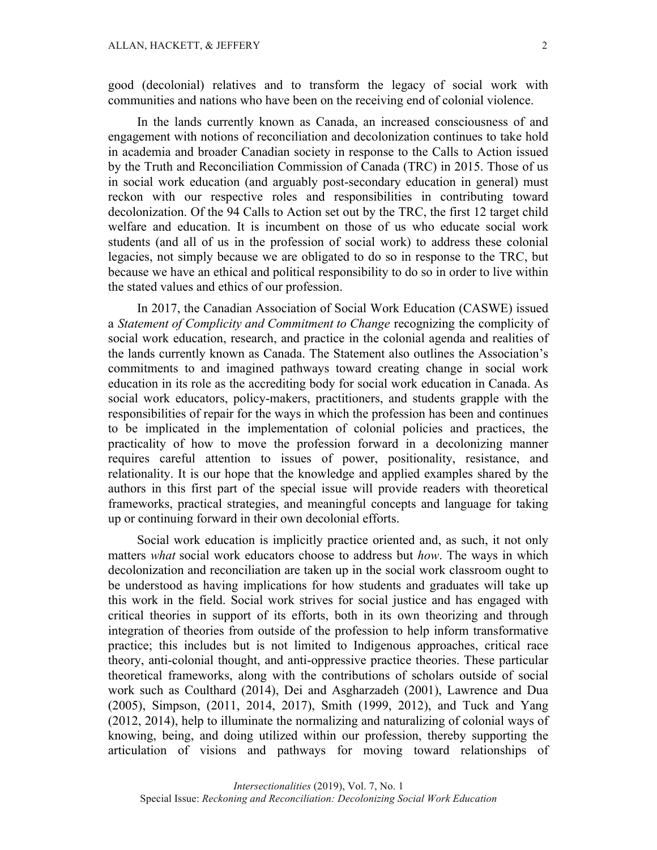good (decolonial) relatives and to transform the legacy of social work with communities and nations who have been on the receiving end of colonial violence.

In the lands currently known as Canada, an increased consciousness of and engagement with notions of reconciliation and decolonization continues to take hold in academia and broader Canadian society in response to the Calls to Action issued by the Truth and Reconciliation Commission of Canada (TRC) in 2015. Those of us in social work education (and arguably post-secondary education in general) must reckon with our respective roles and responsibilities in contributing toward decolonization. Of the 94 Calls to Action set out by the TRC, the first 12 target child welfare and education. It is incumbent on those of us who educate social work students (and all of us in the profession of social work) to address these colonial legacies, not simply because we are obligated to do so in response to the TRC, but because we have an ethical and political responsibility to do so in order to live within the stated values and ethics of our profession.

In 2017, the Canadian Association of Social Work Education (CASWE) issued a *Statement of Complicity and Commitment to Change* recognizing the complicity of social work education, research, and practice in the colonial agenda and realities of the lands currently known as Canada. The Statement also outlines the Association's commitments to and imagined pathways toward creating change in social work education in its role as the accrediting body for social work education in Canada. As social work educators, policy-makers, practitioners, and students grapple with the responsibilities of repair for the ways in which the profession has been and continues to be implicated in the implementation of colonial policies and practices, the practicality of how to move the profession forward in a decolonizing manner requires careful attention to issues of power, positionality, resistance, and relationality. It is our hope that the knowledge and applied examples shared by the authors in this first part of the special issue will provide readers with theoretical frameworks, practical strategies, and meaningful concepts and language for taking up or continuing forward in their own decolonial efforts.

Social work education is implicitly practice oriented and, as such, it not only matters *what* social work educators choose to address but *how*. The ways in which decolonization and reconciliation are taken up in the social work classroom ought to be understood as having implications for how students and graduates will take up this work in the field. Social work strives for social justice and has engaged with critical theories in support of its efforts, both in its own theorizing and through integration of theories from outside of the profession to help inform transformative practice; this includes but is not limited to Indigenous approaches, critical race theory, anti-colonial thought, and anti-oppressive practice theories. These particular theoretical frameworks, along with the contributions of scholars outside of social work such as Coulthard (2014), Dei and Asgharzadeh (2001), Lawrence and Dua (2005), Simpson, (2011, 2014, 2017), Smith (1999, 2012), and Tuck and Yang (2012, 2014), help to illuminate the normalizing and naturalizing of colonial ways of knowing, being, and doing utilized within our profession, thereby supporting the articulation of visions and pathways for moving toward relationships of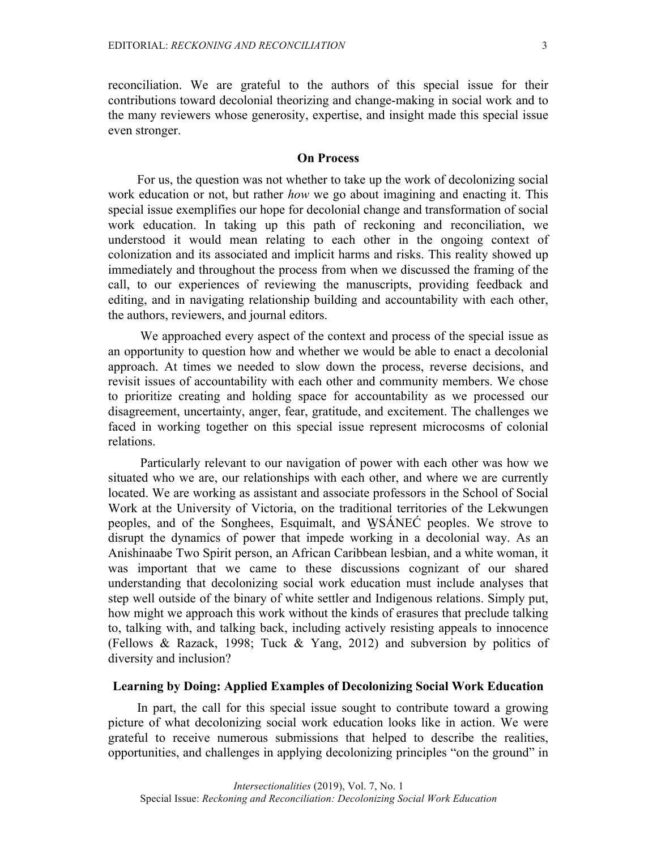reconciliation. We are grateful to the authors of this special issue for their contributions toward decolonial theorizing and change-making in social work and to the many reviewers whose generosity, expertise, and insight made this special issue even stronger.

#### **On Process**

For us, the question was not whether to take up the work of decolonizing social work education or not, but rather *how* we go about imagining and enacting it. This special issue exemplifies our hope for decolonial change and transformation of social work education. In taking up this path of reckoning and reconciliation, we understood it would mean relating to each other in the ongoing context of colonization and its associated and implicit harms and risks. This reality showed up immediately and throughout the process from when we discussed the framing of the call, to our experiences of reviewing the manuscripts, providing feedback and editing, and in navigating relationship building and accountability with each other, the authors, reviewers, and journal editors.

We approached every aspect of the context and process of the special issue as an opportunity to question how and whether we would be able to enact a decolonial approach. At times we needed to slow down the process, reverse decisions, and revisit issues of accountability with each other and community members. We chose to prioritize creating and holding space for accountability as we processed our disagreement, uncertainty, anger, fear, gratitude, and excitement. The challenges we faced in working together on this special issue represent microcosms of colonial relations.

Particularly relevant to our navigation of power with each other was how we situated who we are, our relationships with each other, and where we are currently located. We are working as assistant and associate professors in the School of Social Work at the University of Victoria, on the traditional territories of the Lekwungen peoples, and of the Songhees, Esquimalt, and W̱ SÁNEĆ peoples. We strove to disrupt the dynamics of power that impede working in a decolonial way. As an Anishinaabe Two Spirit person, an African Caribbean lesbian, and a white woman, it was important that we came to these discussions cognizant of our shared understanding that decolonizing social work education must include analyses that step well outside of the binary of white settler and Indigenous relations. Simply put, how might we approach this work without the kinds of erasures that preclude talking to, talking with, and talking back, including actively resisting appeals to innocence (Fellows & Razack, 1998; Tuck & Yang, 2012) and subversion by politics of diversity and inclusion?

## **Learning by Doing: Applied Examples of Decolonizing Social Work Education**

In part, the call for this special issue sought to contribute toward a growing picture of what decolonizing social work education looks like in action. We were grateful to receive numerous submissions that helped to describe the realities, opportunities, and challenges in applying decolonizing principles "on the ground" in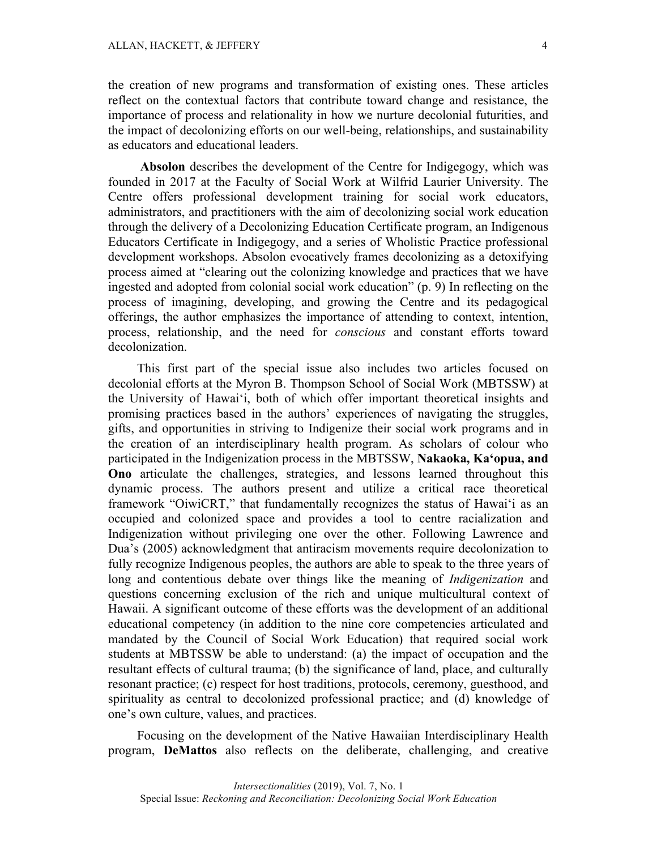the creation of new programs and transformation of existing ones. These articles reflect on the contextual factors that contribute toward change and resistance, the importance of process and relationality in how we nurture decolonial futurities, and the impact of decolonizing efforts on our well-being, relationships, and sustainability as educators and educational leaders.

**Absolon** describes the development of the Centre for Indigegogy, which was founded in 2017 at the Faculty of Social Work at Wilfrid Laurier University. The Centre offers professional development training for social work educators, administrators, and practitioners with the aim of decolonizing social work education through the delivery of a Decolonizing Education Certificate program, an Indigenous Educators Certificate in Indigegogy, and a series of Wholistic Practice professional development workshops. Absolon evocatively frames decolonizing as a detoxifying process aimed at "clearing out the colonizing knowledge and practices that we have ingested and adopted from colonial social work education" (p. 9) In reflecting on the process of imagining, developing, and growing the Centre and its pedagogical offerings, the author emphasizes the importance of attending to context, intention, process, relationship, and the need for *conscious* and constant efforts toward decolonization.

This first part of the special issue also includes two articles focused on decolonial efforts at the Myron B. Thompson School of Social Work (MBTSSW) at the University of Hawai'i, both of which offer important theoretical insights and promising practices based in the authors' experiences of navigating the struggles, gifts, and opportunities in striving to Indigenize their social work programs and in the creation of an interdisciplinary health program. As scholars of colour who participated in the Indigenization process in the MBTSSW, **Nakaoka, Ka'opua, and Ono** articulate the challenges, strategies, and lessons learned throughout this dynamic process. The authors present and utilize a critical race theoretical framework "OiwiCRT," that fundamentally recognizes the status of Hawai'i as an occupied and colonized space and provides a tool to centre racialization and Indigenization without privileging one over the other. Following Lawrence and Dua's (2005) acknowledgment that antiracism movements require decolonization to fully recognize Indigenous peoples, the authors are able to speak to the three years of long and contentious debate over things like the meaning of *Indigenization* and questions concerning exclusion of the rich and unique multicultural context of Hawaii. A significant outcome of these efforts was the development of an additional educational competency (in addition to the nine core competencies articulated and mandated by the Council of Social Work Education) that required social work students at MBTSSW be able to understand: (a) the impact of occupation and the resultant effects of cultural trauma; (b) the significance of land, place, and culturally resonant practice; (c) respect for host traditions, protocols, ceremony, guesthood, and spirituality as central to decolonized professional practice; and (d) knowledge of one's own culture, values, and practices.

Focusing on the development of the Native Hawaiian Interdisciplinary Health program, **DeMattos** also reflects on the deliberate, challenging, and creative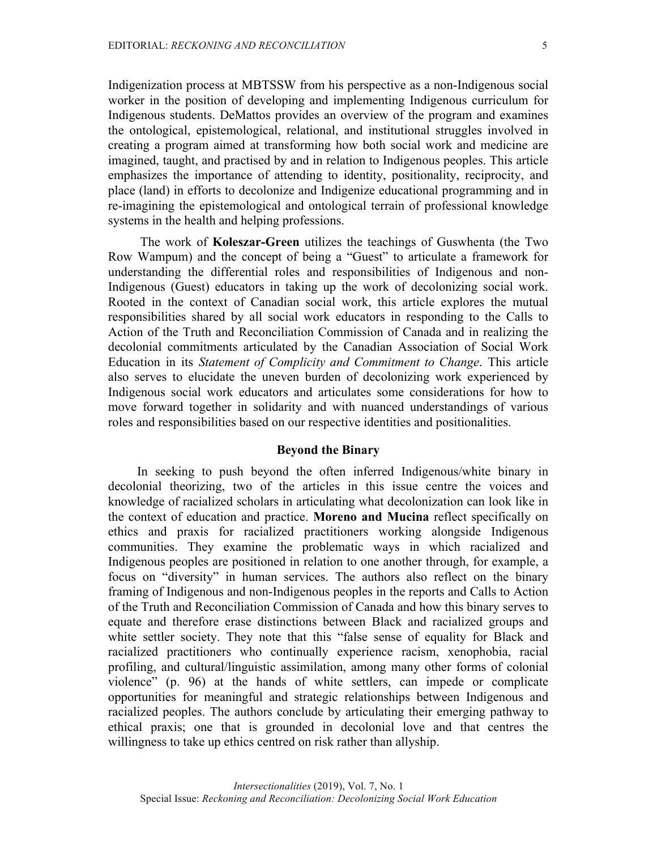Indigenization process at MBTSSW from his perspective as a non-Indigenous social worker in the position of developing and implementing Indigenous curriculum for Indigenous students. DeMattos provides an overview of the program and examines the ontological, epistemological, relational, and institutional struggles involved in creating a program aimed at transforming how both social work and medicine are imagined, taught, and practised by and in relation to Indigenous peoples. This article emphasizes the importance of attending to identity, positionality, reciprocity, and place (land) in efforts to decolonize and Indigenize educational programming and in re-imagining the epistemological and ontological terrain of professional knowledge systems in the health and helping professions.

The work of **Koleszar-Green** utilizes the teachings of Guswhenta (the Two Row Wampum) and the concept of being a "Guest" to articulate a framework for understanding the differential roles and responsibilities of Indigenous and non-Indigenous (Guest) educators in taking up the work of decolonizing social work. Rooted in the context of Canadian social work, this article explores the mutual responsibilities shared by all social work educators in responding to the Calls to Action of the Truth and Reconciliation Commission of Canada and in realizing the decolonial commitments articulated by the Canadian Association of Social Work Education in its *Statement of Complicity and Commitment to Change*. This article also serves to elucidate the uneven burden of decolonizing work experienced by Indigenous social work educators and articulates some considerations for how to move forward together in solidarity and with nuanced understandings of various roles and responsibilities based on our respective identities and positionalities.

## **Beyond the Binary**

In seeking to push beyond the often inferred Indigenous/white binary in decolonial theorizing, two of the articles in this issue centre the voices and knowledge of racialized scholars in articulating what decolonization can look like in the context of education and practice. **Moreno and Mucina** reflect specifically on ethics and praxis for racialized practitioners working alongside Indigenous communities. They examine the problematic ways in which racialized and Indigenous peoples are positioned in relation to one another through, for example, a focus on "diversity" in human services. The authors also reflect on the binary framing of Indigenous and non-Indigenous peoples in the reports and Calls to Action of the Truth and Reconciliation Commission of Canada and how this binary serves to equate and therefore erase distinctions between Black and racialized groups and white settler society. They note that this "false sense of equality for Black and racialized practitioners who continually experience racism, xenophobia, racial profiling, and cultural/linguistic assimilation, among many other forms of colonial violence" (p. 96) at the hands of white settlers, can impede or complicate opportunities for meaningful and strategic relationships between Indigenous and racialized peoples. The authors conclude by articulating their emerging pathway to ethical praxis; one that is grounded in decolonial love and that centres the willingness to take up ethics centred on risk rather than allyship.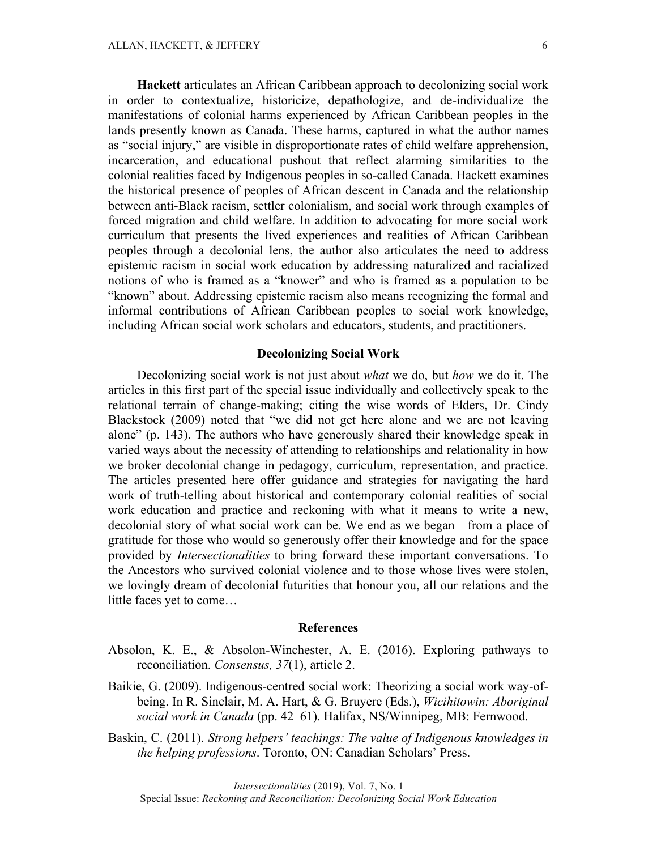**Hackett** articulates an African Caribbean approach to decolonizing social work in order to contextualize, historicize, depathologize, and de-individualize the manifestations of colonial harms experienced by African Caribbean peoples in the lands presently known as Canada. These harms, captured in what the author names as "social injury," are visible in disproportionate rates of child welfare apprehension, incarceration, and educational pushout that reflect alarming similarities to the colonial realities faced by Indigenous peoples in so-called Canada. Hackett examines the historical presence of peoples of African descent in Canada and the relationship between anti-Black racism, settler colonialism, and social work through examples of forced migration and child welfare. In addition to advocating for more social work curriculum that presents the lived experiences and realities of African Caribbean peoples through a decolonial lens, the author also articulates the need to address epistemic racism in social work education by addressing naturalized and racialized notions of who is framed as a "knower" and who is framed as a population to be "known" about. Addressing epistemic racism also means recognizing the formal and informal contributions of African Caribbean peoples to social work knowledge, including African social work scholars and educators, students, and practitioners.

#### **Decolonizing Social Work**

Decolonizing social work is not just about *what* we do, but *how* we do it. The articles in this first part of the special issue individually and collectively speak to the relational terrain of change-making; citing the wise words of Elders, Dr. Cindy Blackstock (2009) noted that "we did not get here alone and we are not leaving alone" (p. 143). The authors who have generously shared their knowledge speak in varied ways about the necessity of attending to relationships and relationality in how we broker decolonial change in pedagogy, curriculum, representation, and practice. The articles presented here offer guidance and strategies for navigating the hard work of truth-telling about historical and contemporary colonial realities of social work education and practice and reckoning with what it means to write a new, decolonial story of what social work can be. We end as we began—from a place of gratitude for those who would so generously offer their knowledge and for the space provided by *Intersectionalities* to bring forward these important conversations. To the Ancestors who survived colonial violence and to those whose lives were stolen, we lovingly dream of decolonial futurities that honour you, all our relations and the little faces yet to come…

#### **References**

- Absolon, K. E., & Absolon-Winchester, A. E. (2016). Exploring pathways to reconciliation. *Consensus, 37*(1), article 2.
- Baikie, G. (2009). Indigenous-centred social work: Theorizing a social work way-ofbeing. In R. Sinclair, M. A. Hart, & G. Bruyere (Eds.), *Wicihitowin: Aboriginal social work in Canada* (pp. 42–61). Halifax, NS/Winnipeg, MB: Fernwood.
- Baskin, C. (2011). *Strong helpers' teachings: The value of Indigenous knowledges in the helping professions*. Toronto, ON: Canadian Scholars' Press.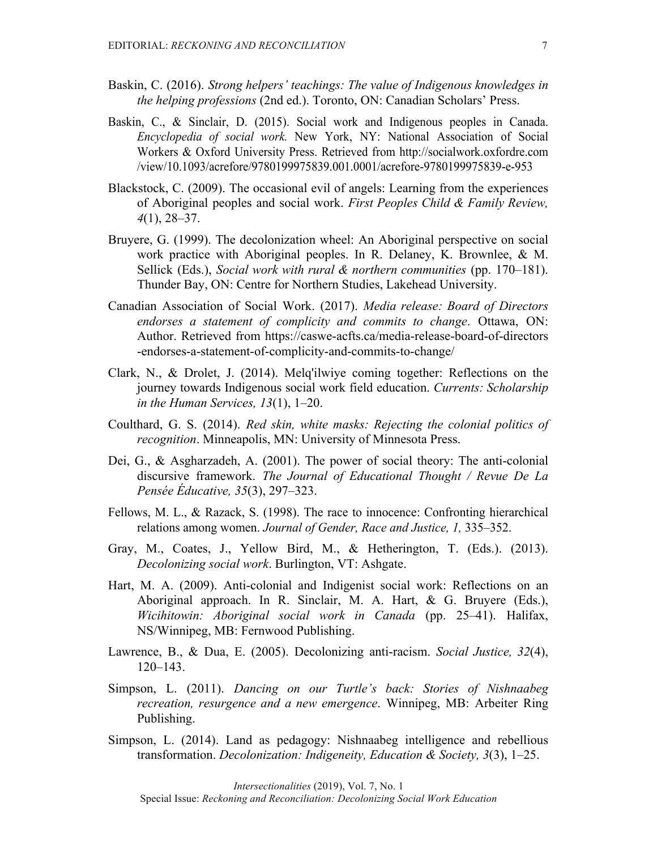- Baskin, C. (2016). *Strong helpers' teachings: The value of Indigenous knowledges in the helping professions* (2nd ed.). Toronto, ON: Canadian Scholars' Press.
- Baskin, C., & Sinclair, D. (2015). Social work and Indigenous peoples in Canada. *Encyclopedia of social work.* New York, NY: National Association of Social Workers & Oxford University Press. Retrieved from http://socialwork.oxfordre.com /view/10.1093/acrefore/9780199975839.001.0001/acrefore-9780199975839-e-953
- Blackstock, C. (2009). The occasional evil of angels: Learning from the experiences of Aboriginal peoples and social work. *First Peoples Child & Family Review, 4*(1), 28–37.
- Bruyere, G. (1999). The decolonization wheel: An Aboriginal perspective on social work practice with Aboriginal peoples. In R. Delaney, K. Brownlee, & M. Sellick (Eds.), *Social work with rural & northern communities* (pp. 170–181). Thunder Bay, ON: Centre for Northern Studies, Lakehead University.
- Canadian Association of Social Work. (2017). *Media release: Board of Directors endorses a statement of complicity and commits to change*. Ottawa, ON: Author. Retrieved from https://caswe-acfts.ca/media-release-board-of-directors -endorses-a-statement-of-complicity-and-commits-to-change/
- Clark, N., & Drolet, J. (2014). Melq'ilwiye coming together: Reflections on the journey towards Indigenous social work field education. *Currents: Scholarship in the Human Services, 13*(1), 1–20.
- Coulthard, G. S. (2014). *Red skin, white masks: Rejecting the colonial politics of recognition*. Minneapolis, MN: University of Minnesota Press.
- Dei, G., & Asgharzadeh, A. (2001). The power of social theory: The anti-colonial discursive framework. *The Journal of Educational Thought / Revue De La Pensée Éducative, 35*(3), 297–323.
- Fellows, M. L., & Razack, S. (1998). The race to innocence: Confronting hierarchical relations among women. *Journal of Gender, Race and Justice, 1,* 335–352.
- Gray, M., Coates, J., Yellow Bird, M., & Hetherington, T. (Eds.). (2013). *Decolonizing social work*. Burlington, VT: Ashgate.
- Hart, M. A. (2009). Anti-colonial and Indigenist social work: Reflections on an Aboriginal approach. In R. Sinclair, M. A. Hart, & G. Bruyere (Eds.), *Wicihitowin: Aboriginal social work in Canada* (pp. 25–41). Halifax, NS/Winnipeg, MB: Fernwood Publishing.
- Lawrence, B., & Dua, E. (2005). Decolonizing anti-racism. *Social Justice, 32*(4), 120–143.
- Simpson, L. (2011). *Dancing on our Turtle's back: Stories of Nishnaabeg recreation, resurgence and a new emergence*. Winnipeg, MB: Arbeiter Ring Publishing.
- Simpson, L. (2014). Land as pedagogy: Nishnaabeg intelligence and rebellious transformation. *Decolonization: Indigeneity, Education & Society, 3*(3), 1–25.